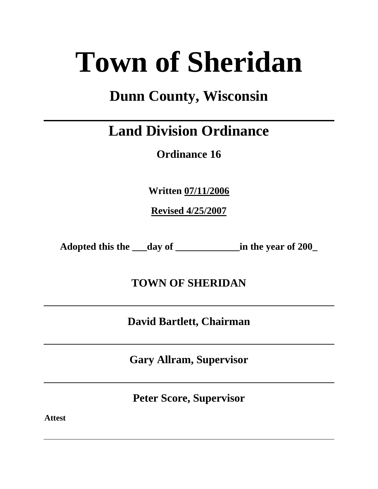# **Town of Sheridan**

## **Dunn County, Wisconsin**

# **Land Division Ordinance**

**Ordinance 16**

**Written 07/11/2006**

**Revised 4/25/2007**

**Adopted this the \_\_\_day of \_\_\_\_\_\_\_\_\_\_\_\_\_in the year of 200\_**

**TOWN OF SHERIDAN**

**David Bartlett, Chairman**

**Gary Allram, Supervisor**

**Peter Score, Supervisor**

**Attest**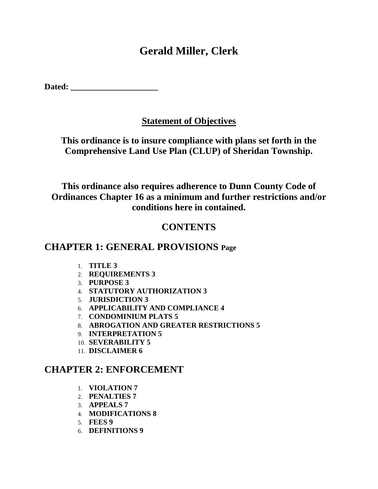## **Gerald Miller, Clerk**

**Dated: \_\_\_\_\_\_\_\_\_\_\_\_\_\_\_\_\_\_\_\_\_**

## **Statement of Objectives**

**This ordinance is to insure compliance with plans set forth in the Comprehensive Land Use Plan (CLUP) of Sheridan Township.**

**This ordinance also requires adherence to Dunn County Code of Ordinances Chapter 16 as a minimum and further restrictions and/or conditions here in contained.**

## **CONTENTS**

## **CHAPTER 1: GENERAL PROVISIONS Page**

- 1. **TITLE 3**
- 2. **REQUIREMENTS 3**
- 3. **PURPOSE 3**
- 4. **STATUTORY AUTHORIZATION 3**
- 5. **JURISDICTION 3**
- 6. **APPLICABILITY AND COMPLIANCE 4**
- 7. **CONDOMINIUM PLATS 5**
- 8. **ABROGATION AND GREATER RESTRICTIONS 5**
- 9. **INTERPRETATION 5**
- 10. **SEVERABILITY 5**
- 11. **DISCLAIMER 6**

## **CHAPTER 2: ENFORCEMENT**

- 1. **VIOLATION 7**
- 2. **PENALTIES 7**
- 3. **APPEALS 7**
- 4. **MODIFICATIONS 8**
- 5. **FEES 9**
- 6. **DEFINITIONS 9**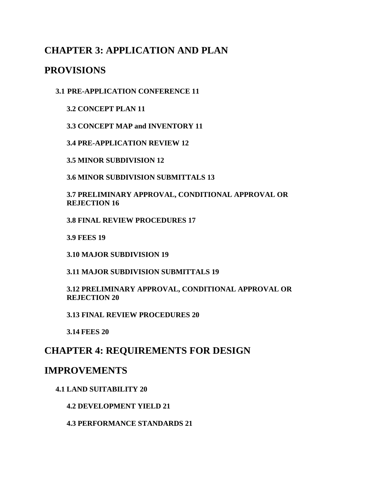## **CHAPTER 3: APPLICATION AND PLAN**

## **PROVISIONS**

**3.1 PRE-APPLICATION CONFERENCE 11**

**3.2 CONCEPT PLAN 11**

**3.3 CONCEPT MAP and INVENTORY 11**

**3.4 PRE-APPLICATION REVIEW 12**

**3.5 MINOR SUBDIVISION 12**

**3.6 MINOR SUBDIVISION SUBMITTALS 13**

**3.7 PRELIMINARY APPROVAL, CONDITIONAL APPROVAL OR REJECTION 16**

**3.8 FINAL REVIEW PROCEDURES 17**

**3.9 FEES 19**

**3.10 MAJOR SUBDIVISION 19**

**3.11 MAJOR SUBDIVISION SUBMITTALS 19**

**3.12 PRELIMINARY APPROVAL, CONDITIONAL APPROVAL OR REJECTION 20**

**3.13 FINAL REVIEW PROCEDURES 20**

**3.14 FEES 20**

## **CHAPTER 4: REQUIREMENTS FOR DESIGN**

## **IMPROVEMENTS**

#### **4.1 LAND SUITABILITY 20**

**4.2 DEVELOPMENT YIELD 21**

**4.3 PERFORMANCE STANDARDS 21**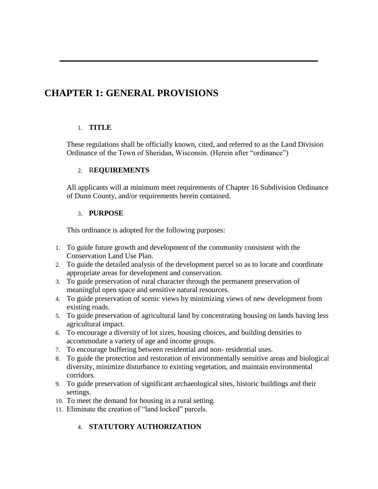## **CHAPTER 1: GENERAL PROVISIONS**

#### 1. **TITLE**

These regulations shall be officially known, cited, and referred to as the Land Division Ordinance of the Town of Sheridan, Wisconsin. (Herein after "ordinance")

**\_\_\_\_\_\_\_\_\_\_\_\_\_\_\_\_\_\_\_\_\_\_\_\_\_\_\_\_\_\_\_\_**

#### 2. R**EQUIREMENTS**

All applicants will at minimum meet requirements of Chapter 16 Subdivision Ordinance of Dunn County, and/or requirements herein contained.

#### 3. **PURPOSE**

This ordinance is adopted for the following purposes:

- 1. To guide future growth and development of the community consistent with the Conservation Land Use Plan.
- 2. To guide the detailed analysis of the development parcel so as to locate and coordinate appropriate areas for development and conservation.
- 3. To guide preservation of rural character through the permanent preservation of meaningful open space and sensitive natural resources.
- 4. To guide preservation of scenic views by minimizing views of new development from existing roads.
- 5. To guide preservation of agricultural land by concentrating housing on lands having less agricultural impact.
- 6. To encourage a diversity of lot sizes, housing choices, and building densities to accommodate a variety of age and income groups.
- 7. To encourage buffering between residential and non- residential uses.
- 8. To guide the protection and restoration of environmentally sensitive areas and biological diversity, minimize disturbance to existing vegetation, and maintain environmental corridors.
- 9. To guide preservation of significant archaeological sites, historic buildings and their settings.
- 10. To meet the demand for housing in a rural setting.
- 11. Eliminate the creation of "land locked" parcels.

#### 4. **STATUTORY AUTHORIZATION**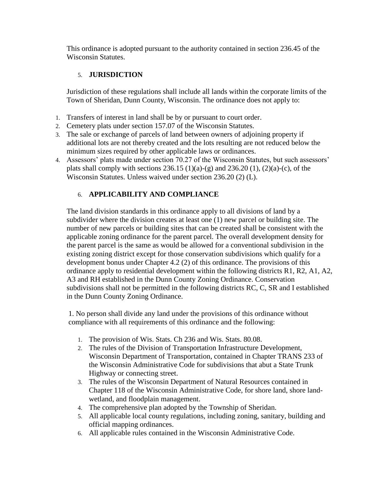This ordinance is adopted pursuant to the authority contained in section 236.45 of the Wisconsin Statutes.

#### 5. **JURISDICTION**

Jurisdiction of these regulations shall include all lands within the corporate limits of the Town of Sheridan, Dunn County, Wisconsin. The ordinance does not apply to:

- 1. Transfers of interest in land shall be by or pursuant to court order.
- 2. Cemetery plats under section 157.07 of the Wisconsin Statutes.
- 3. The sale or exchange of parcels of land between owners of adjoining property if additional lots are not thereby created and the lots resulting are not reduced below the minimum sizes required by other applicable laws or ordinances.
- 4. Assessors' plats made under section 70.27 of the Wisconsin Statutes, but such assessors' plats shall comply with sections 236.15 (1)(a)-(g) and 236.20 (1), (2)(a)-(c), of the Wisconsin Statutes. Unless waived under section 236.20 (2) (L).

#### 6. **APPLICABILITY AND COMPLIANCE**

The land division standards in this ordinance apply to all divisions of land by a subdivider where the division creates at least one (1) new parcel or building site. The number of new parcels or building sites that can be created shall be consistent with the applicable zoning ordinance for the parent parcel. The overall development density for the parent parcel is the same as would be allowed for a conventional subdivision in the existing zoning district except for those conservation subdivisions which qualify for a development bonus under Chapter 4.2 (2) of this ordinance. The provisions of this ordinance apply to residential development within the following districts R1, R2, A1, A2, A3 and RH established in the Dunn County Zoning Ordinance. Conservation subdivisions shall not be permitted in the following districts RC, C, SR and I established in the Dunn County Zoning Ordinance.

1. No person shall divide any land under the provisions of this ordinance without compliance with all requirements of this ordinance and the following:

- 1. The provision of Wis. Stats. Ch 236 and Wis. Stats. 80.08.
- 2. The rules of the Division of Transportation Infrastructure Development, Wisconsin Department of Transportation, contained in Chapter TRANS 233 of the Wisconsin Administrative Code for subdivisions that abut a State Trunk Highway or connecting street.
- 3. The rules of the Wisconsin Department of Natural Resources contained in Chapter 118 of the Wisconsin Administrative Code, for shore land, shore landwetland, and floodplain management.
- 4. The comprehensive plan adopted by the Township of Sheridan.
- 5. All applicable local county regulations, including zoning, sanitary, building and official mapping ordinances.
- 6. All applicable rules contained in the Wisconsin Administrative Code.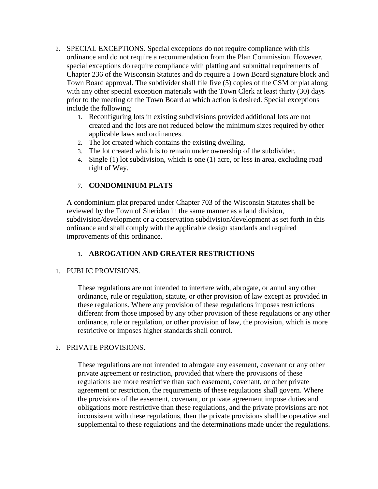- 2. SPECIAL EXCEPTIONS. Special exceptions do not require compliance with this ordinance and do not require a recommendation from the Plan Commission. However, special exceptions do require compliance with platting and submittal requirements of Chapter 236 of the Wisconsin Statutes and do require a Town Board signature block and Town Board approval. The subdivider shall file five (5) copies of the CSM or plat along with any other special exception materials with the Town Clerk at least thirty (30) days prior to the meeting of the Town Board at which action is desired. Special exceptions include the following;
	- 1. Reconfiguring lots in existing subdivisions provided additional lots are not created and the lots are not reduced below the minimum sizes required by other applicable laws and ordinances.
	- 2. The lot created which contains the existing dwelling.
	- 3. The lot created which is to remain under ownership of the subdivider.
	- 4. Single (1) lot subdivision, which is one (1) acre, or less in area, excluding road right of Way.

#### 7. **CONDOMINIUM PLATS**

A condominium plat prepared under Chapter 703 of the Wisconsin Statutes shall be reviewed by the Town of Sheridan in the same manner as a land division, subdivision/development or a conservation subdivision/development as set forth in this ordinance and shall comply with the applicable design standards and required improvements of this ordinance.

#### 1. **ABROGATION AND GREATER RESTRICTIONS**

#### 1. PUBLIC PROVISIONS.

These regulations are not intended to interfere with, abrogate, or annul any other ordinance, rule or regulation, statute, or other provision of law except as provided in these regulations. Where any provision of these regulations imposes restrictions different from those imposed by any other provision of these regulations or any other ordinance, rule or regulation, or other provision of law, the provision, which is more restrictive or imposes higher standards shall control.

#### 2. PRIVATE PROVISIONS.

These regulations are not intended to abrogate any easement, covenant or any other private agreement or restriction, provided that where the provisions of these regulations are more restrictive than such easement, covenant, or other private agreement or restriction, the requirements of these regulations shall govern. Where the provisions of the easement, covenant, or private agreement impose duties and obligations more restrictive than these regulations, and the private provisions are not inconsistent with these regulations, then the private provisions shall be operative and supplemental to these regulations and the determinations made under the regulations.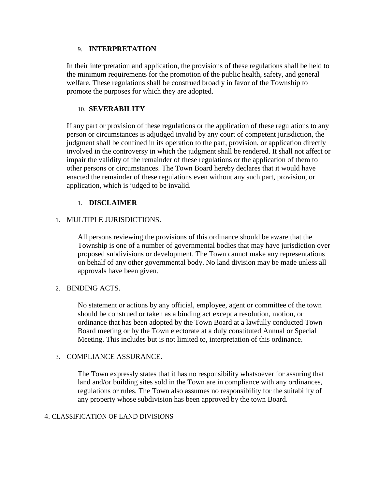#### 9. **INTERPRETATION**

In their interpretation and application, the provisions of these regulations shall be held to the minimum requirements for the promotion of the public health, safety, and general welfare. These regulations shall be construed broadly in favor of the Township to promote the purposes for which they are adopted.

#### 10. **SEVERABILITY**

If any part or provision of these regulations or the application of these regulations to any person or circumstances is adjudged invalid by any court of competent jurisdiction, the judgment shall be confined in its operation to the part, provision, or application directly involved in the controversy in which the judgment shall be rendered. It shall not affect or impair the validity of the remainder of these regulations or the application of them to other persons or circumstances. The Town Board hereby declares that it would have enacted the remainder of these regulations even without any such part, provision, or application, which is judged to be invalid.

#### 1. **DISCLAIMER**

#### 1. MULTIPLE JURISDICTIONS.

All persons reviewing the provisions of this ordinance should be aware that the Township is one of a number of governmental bodies that may have jurisdiction over proposed subdivisions or development. The Town cannot make any representations on behalf of any other governmental body. No land division may be made unless all approvals have been given.

#### 2. BINDING ACTS.

No statement or actions by any official, employee, agent or committee of the town should be construed or taken as a binding act except a resolution, motion, or ordinance that has been adopted by the Town Board at a lawfully conducted Town Board meeting or by the Town electorate at a duly constituted Annual or Special Meeting. This includes but is not limited to, interpretation of this ordinance.

#### 3. COMPLIANCE ASSURANCE.

The Town expressly states that it has no responsibility whatsoever for assuring that land and/or building sites sold in the Town are in compliance with any ordinances, regulations or rules. The Town also assumes no responsibility for the suitability of any property whose subdivision has been approved by the town Board.

#### 4. CLASSIFICATION OF LAND DIVISIONS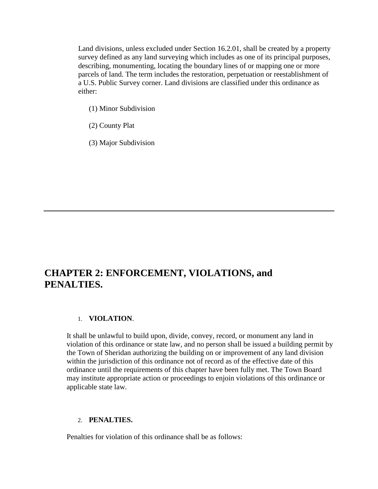Land divisions, unless excluded under Section 16.2.01, shall be created by a property survey defined as any land surveying which includes as one of its principal purposes, describing, monumenting, locating the boundary lines of or mapping one or more parcels of land. The term includes the restoration, perpetuation or reestablishment of a U.S. Public Survey corner. Land divisions are classified under this ordinance as either:

- (1) Minor Subdivision
- (2) County Plat
- (3) Major Subdivision

## **CHAPTER 2: ENFORCEMENT, VIOLATIONS, and PENALTIES.**

#### 1. **VIOLATION**.

It shall be unlawful to build upon, divide, convey, record, or monument any land in violation of this ordinance or state law, and no person shall be issued a building permit by the Town of Sheridan authorizing the building on or improvement of any land division within the jurisdiction of this ordinance not of record as of the effective date of this ordinance until the requirements of this chapter have been fully met. The Town Board may institute appropriate action or proceedings to enjoin violations of this ordinance or applicable state law.

#### 2. **PENALTIES.**

Penalties for violation of this ordinance shall be as follows: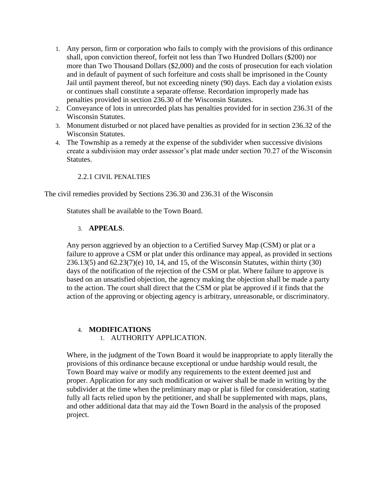- 1. Any person, firm or corporation who fails to comply with the provisions of this ordinance shall, upon conviction thereof, forfeit not less than Two Hundred Dollars (\$200) nor more than Two Thousand Dollars (\$2,000) and the costs of prosecution for each violation and in default of payment of such forfeiture and costs shall be imprisoned in the County Jail until payment thereof, but not exceeding ninety (90) days. Each day a violation exists or continues shall constitute a separate offense. Recordation improperly made has penalties provided in section 236.30 of the Wisconsin Statutes.
- 2. Conveyance of lots in unrecorded plats has penalties provided for in section 236.31 of the Wisconsin Statutes.
- 3. Monument disturbed or not placed have penalties as provided for in section 236.32 of the Wisconsin Statutes.
- 4. The Township as a remedy at the expense of the subdivider when successive divisions create a subdivision may order assessor's plat made under section 70.27 of the Wisconsin Statutes.

#### 2.2.1 CIVIL PENALTIES

The civil remedies provided by Sections 236.30 and 236.31 of the Wisconsin

Statutes shall be available to the Town Board.

#### 3. **APPEALS**.

Any person aggrieved by an objection to a Certified Survey Map (CSM) or plat or a failure to approve a CSM or plat under this ordinance may appeal, as provided in sections 236.13(5) and 62.23(7)(e) 10, 14, and 15, of the Wisconsin Statutes, within thirty (30) days of the notification of the rejection of the CSM or plat. Where failure to approve is based on an unsatisfied objection, the agency making the objection shall be made a party to the action. The court shall direct that the CSM or plat be approved if it finds that the action of the approving or objecting agency is arbitrary, unreasonable, or discriminatory.

#### 4. **MODIFICATIONS**

1. AUTHORITY APPLICATION.

Where, in the judgment of the Town Board it would be inappropriate to apply literally the provisions of this ordinance because exceptional or undue hardship would result, the Town Board may waive or modify any requirements to the extent deemed just and proper. Application for any such modification or waiver shall be made in writing by the subdivider at the time when the preliminary map or plat is filed for consideration, stating fully all facts relied upon by the petitioner, and shall be supplemented with maps, plans, and other additional data that may aid the Town Board in the analysis of the proposed project.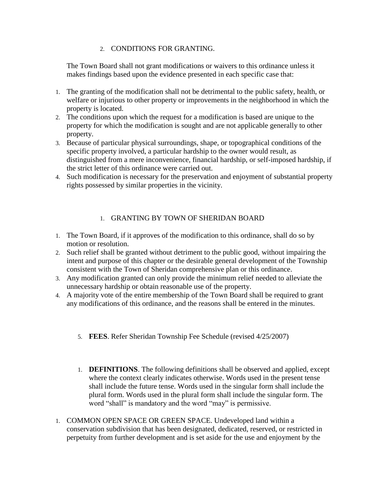#### 2. CONDITIONS FOR GRANTING.

The Town Board shall not grant modifications or waivers to this ordinance unless it makes findings based upon the evidence presented in each specific case that:

- 1. The granting of the modification shall not be detrimental to the public safety, health, or welfare or injurious to other property or improvements in the neighborhood in which the property is located.
- 2. The conditions upon which the request for a modification is based are unique to the property for which the modification is sought and are not applicable generally to other property.
- 3. Because of particular physical surroundings, shape, or topographical conditions of the specific property involved, a particular hardship to the owner would result, as distinguished from a mere inconvenience, financial hardship, or self-imposed hardship, if the strict letter of this ordinance were carried out.
- 4. Such modification is necessary for the preservation and enjoyment of substantial property rights possessed by similar properties in the vicinity.

#### 1. GRANTING BY TOWN OF SHERIDAN BOARD

- 1. The Town Board, if it approves of the modification to this ordinance, shall do so by motion or resolution.
- 2. Such relief shall be granted without detriment to the public good, without impairing the intent and purpose of this chapter or the desirable general development of the Township consistent with the Town of Sheridan comprehensive plan or this ordinance.
- 3. Any modification granted can only provide the minimum relief needed to alleviate the unnecessary hardship or obtain reasonable use of the property.
- 4. A majority vote of the entire membership of the Town Board shall be required to grant any modifications of this ordinance, and the reasons shall be entered in the minutes.
	- 5. **FEES**. Refer Sheridan Township Fee Schedule (revised 4/25/2007)
	- 1. **DEFINITIONS**. The following definitions shall be observed and applied, except where the context clearly indicates otherwise. Words used in the present tense shall include the future tense. Words used in the singular form shall include the plural form. Words used in the plural form shall include the singular form. The word "shall" is mandatory and the word "may" is permissive.
- 1. COMMON OPEN SPACE OR GREEN SPACE. Undeveloped land within a conservation subdivision that has been designated, dedicated, reserved, or restricted in perpetuity from further development and is set aside for the use and enjoyment by the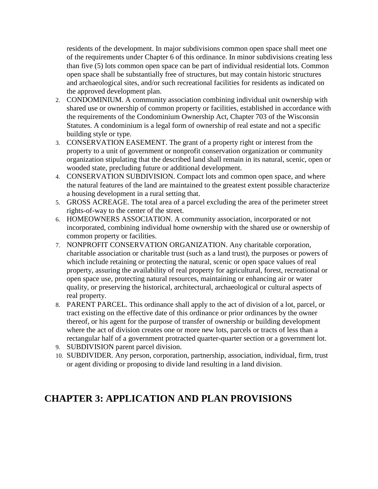residents of the development. In major subdivisions common open space shall meet one of the requirements under Chapter 6 of this ordinance. In minor subdivisions creating less than five (5) lots common open space can be part of individual residential lots. Common open space shall be substantially free of structures, but may contain historic structures and archaeological sites, and/or such recreational facilities for residents as indicated on the approved development plan.

- 2. CONDOMINIUM. A community association combining individual unit ownership with shared use or ownership of common property or facilities, established in accordance with the requirements of the Condominium Ownership Act, Chapter 703 of the Wisconsin Statutes. A condominium is a legal form of ownership of real estate and not a specific building style or type.
- 3. CONSERVATION EASEMENT. The grant of a property right or interest from the property to a unit of government or nonprofit conservation organization or community organization stipulating that the described land shall remain in its natural, scenic, open or wooded state, precluding future or additional development.
- 4. CONSERVATION SUBDIVISION. Compact lots and common open space, and where the natural features of the land are maintained to the greatest extent possible characterize a housing development in a rural setting that.
- 5. GROSS ACREAGE. The total area of a parcel excluding the area of the perimeter street rights-of-way to the center of the street.
- 6. HOMEOWNERS ASSOCIATION. A community association, incorporated or not incorporated, combining individual home ownership with the shared use or ownership of common property or facilities.
- 7. NONPROFIT CONSERVATION ORGANIZATION. Any charitable corporation, charitable association or charitable trust (such as a land trust), the purposes or powers of which include retaining or protecting the natural, scenic or open space values of real property, assuring the availability of real property for agricultural, forest, recreational or open space use, protecting natural resources, maintaining or enhancing air or water quality, or preserving the historical, architectural, archaeological or cultural aspects of real property.
- 8. PARENT PARCEL. This ordinance shall apply to the act of division of a lot, parcel, or tract existing on the effective date of this ordinance or prior ordinances by the owner thereof, or his agent for the purpose of transfer of ownership or building development where the act of division creates one or more new lots, parcels or tracts of less than a rectangular half of a government protracted quarter-quarter section or a government lot.
- 9. SUBDIVISION parent parcel division.
- 10. SUBDIVIDER. Any person, corporation, partnership, association, individual, firm, trust or agent dividing or proposing to divide land resulting in a land division.

## **CHAPTER 3: APPLICATION AND PLAN PROVISIONS**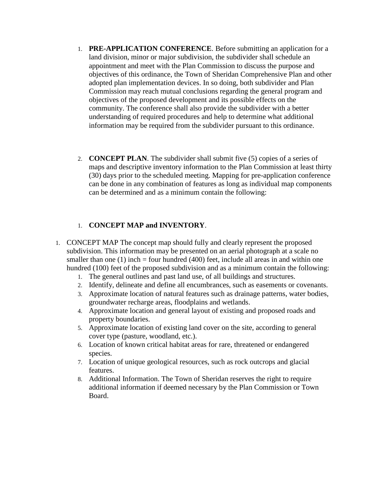- 1. **PRE-APPLICATION CONFERENCE**. Before submitting an application for a land division, minor or major subdivision, the subdivider shall schedule an appointment and meet with the Plan Commission to discuss the purpose and objectives of this ordinance, the Town of Sheridan Comprehensive Plan and other adopted plan implementation devices. In so doing, both subdivider and Plan Commission may reach mutual conclusions regarding the general program and objectives of the proposed development and its possible effects on the community. The conference shall also provide the subdivider with a better understanding of required procedures and help to determine what additional information may be required from the subdivider pursuant to this ordinance.
- 2. **CONCEPT PLAN**. The subdivider shall submit five (5) copies of a series of maps and descriptive inventory information to the Plan Commission at least thirty (30) days prior to the scheduled meeting. Mapping for pre-application conference can be done in any combination of features as long as individual map components can be determined and as a minimum contain the following:

#### 1. **CONCEPT MAP and INVENTORY**.

- 1. CONCEPT MAP The concept map should fully and clearly represent the proposed subdivision. This information may be presented on an aerial photograph at a scale no smaller than one (1) inch  $=$  four hundred (400) feet, include all areas in and within one hundred (100) feet of the proposed subdivision and as a minimum contain the following:
	- 1. The general outlines and past land use, of all buildings and structures.
	- 2. Identify, delineate and define all encumbrances, such as easements or covenants.
	- 3. Approximate location of natural features such as drainage patterns, water bodies, groundwater recharge areas, floodplains and wetlands.
	- 4. Approximate location and general layout of existing and proposed roads and property boundaries.
	- 5. Approximate location of existing land cover on the site, according to general cover type (pasture, woodland, etc.).
	- 6. Location of known critical habitat areas for rare, threatened or endangered species.
	- 7. Location of unique geological resources, such as rock outcrops and glacial features.
	- 8. Additional Information. The Town of Sheridan reserves the right to require additional information if deemed necessary by the Plan Commission or Town Board.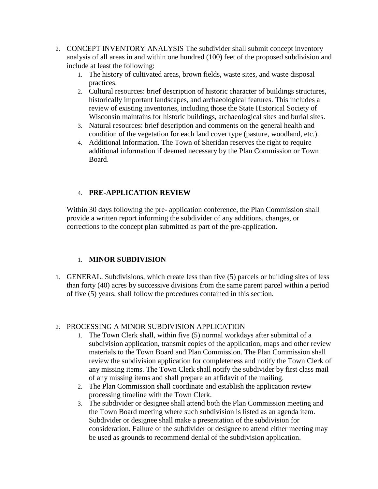- 2. CONCEPT INVENTORY ANALYSIS The subdivider shall submit concept inventory analysis of all areas in and within one hundred (100) feet of the proposed subdivision and include at least the following:
	- 1. The history of cultivated areas, brown fields, waste sites, and waste disposal practices.
	- 2. Cultural resources: brief description of historic character of buildings structures, historically important landscapes, and archaeological features. This includes a review of existing inventories, including those the State Historical Society of Wisconsin maintains for historic buildings, archaeological sites and burial sites.
	- 3. Natural resources: brief description and comments on the general health and condition of the vegetation for each land cover type (pasture, woodland, etc.).
	- 4. Additional Information. The Town of Sheridan reserves the right to require additional information if deemed necessary by the Plan Commission or Town Board.

#### 4. **PRE-APPLICATION REVIEW**

Within 30 days following the pre- application conference, the Plan Commission shall provide a written report informing the subdivider of any additions, changes, or corrections to the concept plan submitted as part of the pre-application.

#### 1. **MINOR SUBDIVISION**

1. GENERAL. Subdivisions, which create less than five (5) parcels or building sites of less than forty (40) acres by successive divisions from the same parent parcel within a period of five (5) years, shall follow the procedures contained in this section.

#### 2. PROCESSING A MINOR SUBDIVISION APPLICATION

- 1. The Town Clerk shall, within five (5) normal workdays after submittal of a subdivision application, transmit copies of the application, maps and other review materials to the Town Board and Plan Commission. The Plan Commission shall review the subdivision application for completeness and notify the Town Clerk of any missing items. The Town Clerk shall notify the subdivider by first class mail of any missing items and shall prepare an affidavit of the mailing.
- 2. The Plan Commission shall coordinate and establish the application review processing timeline with the Town Clerk.
- 3. The subdivider or designee shall attend both the Plan Commission meeting and the Town Board meeting where such subdivision is listed as an agenda item. Subdivider or designee shall make a presentation of the subdivision for consideration. Failure of the subdivider or designee to attend either meeting may be used as grounds to recommend denial of the subdivision application.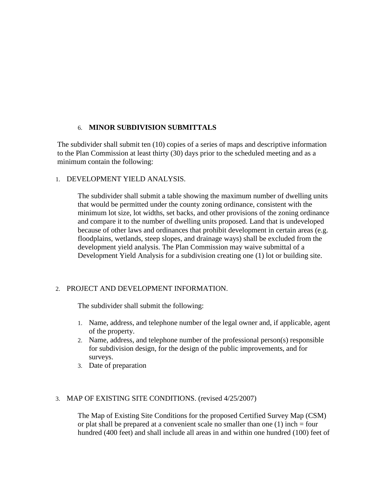#### 6. **MINOR SUBDIVISION SUBMITTALS**

The subdivider shall submit ten (10) copies of a series of maps and descriptive information to the Plan Commission at least thirty (30) days prior to the scheduled meeting and as a minimum contain the following:

#### 1. DEVELOPMENT YIELD ANALYSIS.

The subdivider shall submit a table showing the maximum number of dwelling units that would be permitted under the county zoning ordinance, consistent with the minimum lot size, lot widths, set backs, and other provisions of the zoning ordinance and compare it to the number of dwelling units proposed. Land that is undeveloped because of other laws and ordinances that prohibit development in certain areas (e.g. floodplains, wetlands, steep slopes, and drainage ways) shall be excluded from the development yield analysis. The Plan Commission may waive submittal of a Development Yield Analysis for a subdivision creating one (1) lot or building site.

#### 2. PROJECT AND DEVELOPMENT INFORMATION.

The subdivider shall submit the following:

- 1. Name, address, and telephone number of the legal owner and, if applicable, agent of the property.
- 2. Name, address, and telephone number of the professional person(s) responsible for subdivision design, for the design of the public improvements, and for surveys.
- 3. Date of preparation

#### 3. MAP OF EXISTING SITE CONDITIONS. (revised 4/25/2007)

The Map of Existing Site Conditions for the proposed Certified Survey Map (CSM) or plat shall be prepared at a convenient scale no smaller than one  $(1)$  inch = four hundred (400 feet) and shall include all areas in and within one hundred (100) feet of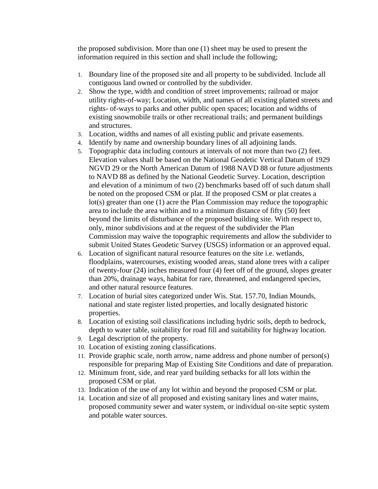the proposed subdivision. More than one (1) sheet may be used to present the information required in this section and shall include the following;

- 1. Boundary line of the proposed site and all property to be subdivided. Include all contiguous land owned or controlled by the subdivider.
- 2. Show the type, width and condition of street improvements; railroad or major utility rights-of-way; Location, width, and names of all existing platted streets and rights- of-ways to parks and other public open spaces; location and widths of existing snowmobile trails or other recreational trails; and permanent buildings and structures.
- 3. Location, widths and names of all existing public and private easements.
- 4. Identify by name and ownership boundary lines of all adjoining lands.
- 5. Topographic data including contours at intervals of not more than two (2) feet. Elevation values shall be based on the National Geodetic Vertical Datum of 1929 NGVD 29 or the North American Datum of 1988 NAVD 88 or future adjustments to NAVD 88 as defined by the National Geodetic Survey. Location, description and elevation of a minimum of two (2) benchmarks based off of such datum shall be noted on the proposed CSM or plat. If the proposed CSM or plat creates a lot(s) greater than one (1) acre the Plan Commission may reduce the topographic area to include the area within and to a minimum distance of fifty (50) feet beyond the limits of disturbance of the proposed building site. With respect to, only, minor subdivisions and at the request of the subdivider the Plan Commission may waive the topographic requirements and allow the subdivider to submit United States Geodetic Survey (USGS) information or an approved equal.
- 6. Location of significant natural resource features on the site i.e. wetlands, floodplains, watercourses, existing wooded areas, stand alone trees with a caliper of twenty-four (24) inches measured four (4) feet off of the ground, slopes greater than 20%, drainage ways, habitat for rare, threatened, and endangered species, and other natural resource features.
- 7. Location of burial sites categorized under Wis. Stat. 157.70, Indian Mounds, national and state register listed properties, and locally designated historic properties.
- 8. Location of existing soil classifications including hydric soils, depth to bedrock, depth to water table, suitability for road fill and suitability for highway location.
- 9. Legal description of the property.
- 10. Location of existing zoning classifications.
- 11. Provide graphic scale, north arrow, name address and phone number of person(s) responsible for preparing Map of Existing Site Conditions and date of preparation.
- 12. Minimum front, side, and rear yard building setbacks for all lots within the proposed CSM or plat.
- 13. Indication of the use of any lot within and beyond the proposed CSM or plat.
- 14. Location and size of all proposed and existing sanitary lines and water mains, proposed community sewer and water system, or individual on-site septic system and potable water sources.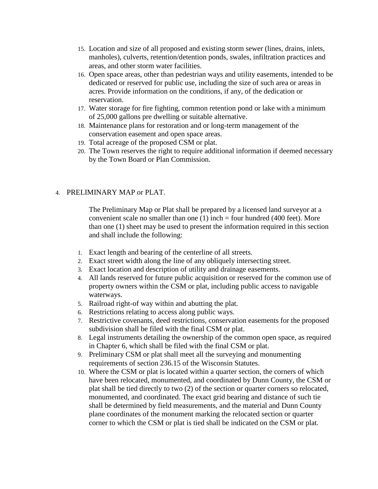- 15. Location and size of all proposed and existing storm sewer (lines, drains, inlets, manholes), culverts, retention/detention ponds, swales, infiltration practices and areas, and other storm water facilities.
- 16. Open space areas, other than pedestrian ways and utility easements, intended to be dedicated or reserved for public use, including the size of such area or areas in acres. Provide information on the conditions, if any, of the dedication or reservation.
- 17. Water storage for fire fighting, common retention pond or lake with a minimum of 25,000 gallons pre dwelling or suitable alternative.
- 18. Maintenance plans for restoration and or long-term management of the conservation easement and open space areas.
- 19. Total acreage of the proposed CSM or plat.
- 20. The Town reserves the right to require additional information if deemed necessary by the Town Board or Plan Commission.

#### 4. PRELIMINARY MAP or PLAT.

The Preliminary Map or Plat shall be prepared by a licensed land surveyor at a convenient scale no smaller than one  $(1)$  inch = four hundred (400 feet). More than one (1) sheet may be used to present the information required in this section and shall include the following:

- 1. Exact length and bearing of the centerline of all streets.
- 2. Exact street width along the line of any obliquely intersecting street.
- 3. Exact location and description of utility and drainage easements.
- 4. All lands reserved for future public acquisition or reserved for the common use of property owners within the CSM or plat, including public access to navigable waterways.
- 5. Railroad right-of way within and abutting the plat.
- 6. Restrictions relating to access along public ways.
- 7. Restrictive covenants, deed restrictions, conservation easements for the proposed subdivision shall be filed with the final CSM or plat.
- 8. Legal instruments detailing the ownership of the common open space, as required in Chapter 6, which shall be filed with the final CSM or plat.
- 9. Preliminary CSM or plat shall meet all the surveying and monumenting requirements of section 236.15 of the Wisconsin Statutes.
- 10. Where the CSM or plat is located within a quarter section, the corners of which have been relocated, monumented, and coordinated by Dunn County, the CSM or plat shall be tied directly to two (2) of the section or quarter corners so relocated, monumented, and coordinated. The exact grid bearing and distance of such tie shall be determined by field measurements, and the material and Dunn County plane coordinates of the monument marking the relocated section or quarter corner to which the CSM or plat is tied shall be indicated on the CSM or plat.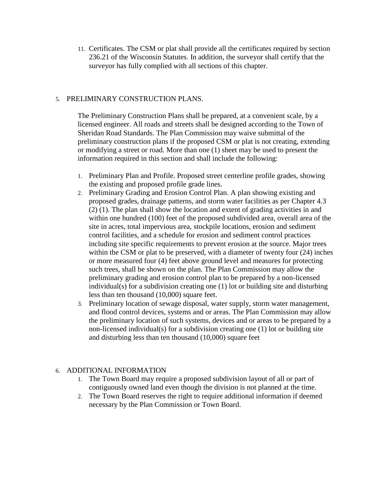11. Certificates. The CSM or plat shall provide all the certificates required by section 236.21 of the Wisconsin Statutes. In addition, the surveyor shall certify that the surveyor has fully complied with all sections of this chapter.

#### 5. PRELIMINARY CONSTRUCTION PLANS.

The Preliminary Construction Plans shall be prepared, at a convenient scale, by a licensed engineer. All roads and streets shall be designed according to the Town of Sheridan Road Standards. The Plan Commission may waive submittal of the preliminary construction plans if the proposed CSM or plat is not creating, extending or modifying a street or road. More than one (1) sheet may be used to present the information required in this section and shall include the following:

- 1. Preliminary Plan and Profile. Proposed street centerline profile grades, showing the existing and proposed profile grade lines.
- 2. Preliminary Grading and Erosion Control Plan. A plan showing existing and proposed grades, drainage patterns, and storm water facilities as per Chapter 4.3 (2) (1). The plan shall show the location and extent of grading activities in and within one hundred (100) feet of the proposed subdivided area, overall area of the site in acres, total impervious area, stockpile locations, erosion and sediment control facilities, and a schedule for erosion and sediment control practices including site specific requirements to prevent erosion at the source. Major trees within the CSM or plat to be preserved, with a diameter of twenty four (24) inches or more measured four (4) feet above ground level and measures for protecting such trees, shall be shown on the plan. The Plan Commission may allow the preliminary grading and erosion control plan to be prepared by a non-licensed individual(s) for a subdivision creating one (1) lot or building site and disturbing less than ten thousand (10,000) square feet.
- 3. Preliminary location of sewage disposal, water supply, storm water management, and flood control devices, systems and or areas. The Plan Commission may allow the preliminary location of such systems, devices and or areas to be prepared by a non-licensed individual(s) for a subdivision creating one (1) lot or building site and disturbing less than ten thousand (10,000) square feet

#### 6. ADDITIONAL INFORMATION

- 1. The Town Board may require a proposed subdivision layout of all or part of contiguously owned land even though the division is not planned at the time.
- 2. The Town Board reserves the right to require additional information if deemed necessary by the Plan Commission or Town Board.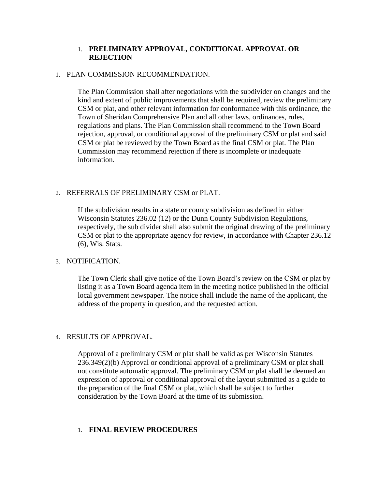#### 1. **PRELIMINARY APPROVAL, CONDITIONAL APPROVAL OR REJECTION**

#### 1. PLAN COMMISSION RECOMMENDATION.

The Plan Commission shall after negotiations with the subdivider on changes and the kind and extent of public improvements that shall be required, review the preliminary CSM or plat, and other relevant information for conformance with this ordinance, the Town of Sheridan Comprehensive Plan and all other laws, ordinances, rules, regulations and plans. The Plan Commission shall recommend to the Town Board rejection, approval, or conditional approval of the preliminary CSM or plat and said CSM or plat be reviewed by the Town Board as the final CSM or plat. The Plan Commission may recommend rejection if there is incomplete or inadequate information.

#### 2. REFERRALS OF PRELIMINARY CSM or PLAT.

If the subdivision results in a state or county subdivision as defined in either Wisconsin Statutes 236.02 (12) or the Dunn County Subdivision Regulations, respectively, the sub divider shall also submit the original drawing of the preliminary CSM or plat to the appropriate agency for review, in accordance with Chapter 236.12 (6), Wis. Stats.

#### 3. NOTIFICATION.

The Town Clerk shall give notice of the Town Board's review on the CSM or plat by listing it as a Town Board agenda item in the meeting notice published in the official local government newspaper. The notice shall include the name of the applicant, the address of the property in question, and the requested action.

#### 4. RESULTS OF APPROVAL.

Approval of a preliminary CSM or plat shall be valid as per Wisconsin Statutes 236.349(2)(b) Approval or conditional approval of a preliminary CSM or plat shall not constitute automatic approval. The preliminary CSM or plat shall be deemed an expression of approval or conditional approval of the layout submitted as a guide to the preparation of the final CSM or plat, which shall be subject to further consideration by the Town Board at the time of its submission.

#### 1. **FINAL REVIEW PROCEDURES**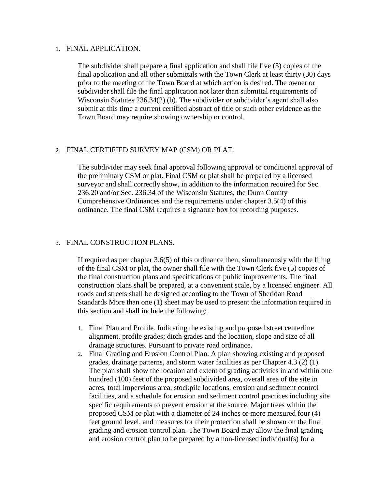#### 1. FINAL APPLICATION.

The subdivider shall prepare a final application and shall file five (5) copies of the final application and all other submittals with the Town Clerk at least thirty (30) days prior to the meeting of the Town Board at which action is desired. The owner or subdivider shall file the final application not later than submittal requirements of Wisconsin Statutes 236.34(2) (b). The subdivider or subdivider's agent shall also submit at this time a current certified abstract of title or such other evidence as the Town Board may require showing ownership or control.

#### 2. FINAL CERTIFIED SURVEY MAP (CSM) OR PLAT.

The subdivider may seek final approval following approval or conditional approval of the preliminary CSM or plat. Final CSM or plat shall be prepared by a licensed surveyor and shall correctly show, in addition to the information required for Sec. 236.20 and/or Sec. 236.34 of the Wisconsin Statutes, the Dunn County Comprehensive Ordinances and the requirements under chapter 3.5(4) of this ordinance. The final CSM requires a signature box for recording purposes.

#### 3. FINAL CONSTRUCTION PLANS.

If required as per chapter 3.6(5) of this ordinance then, simultaneously with the filing of the final CSM or plat, the owner shall file with the Town Clerk five (5) copies of the final construction plans and specifications of public improvements. The final construction plans shall be prepared, at a convenient scale, by a licensed engineer. All roads and streets shall be designed according to the Town of Sheridan Road Standards More than one (1) sheet may be used to present the information required in this section and shall include the following;

- 1. Final Plan and Profile. Indicating the existing and proposed street centerline alignment, profile grades; ditch grades and the location, slope and size of all drainage structures. Pursuant to private road ordinance.
- 2. Final Grading and Erosion Control Plan. A plan showing existing and proposed grades, drainage patterns, and storm water facilities as per Chapter 4.3 (2) (1). The plan shall show the location and extent of grading activities in and within one hundred (100) feet of the proposed subdivided area, overall area of the site in acres, total impervious area, stockpile locations, erosion and sediment control facilities, and a schedule for erosion and sediment control practices including site specific requirements to prevent erosion at the source. Major trees within the proposed CSM or plat with a diameter of 24 inches or more measured four (4) feet ground level, and measures for their protection shall be shown on the final grading and erosion control plan. The Town Board may allow the final grading and erosion control plan to be prepared by a non-licensed individual(s) for a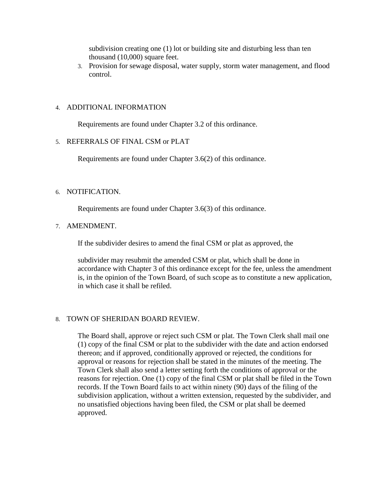subdivision creating one (1) lot or building site and disturbing less than ten thousand (10,000) square feet.

3. Provision for sewage disposal, water supply, storm water management, and flood control.

#### 4. ADDITIONAL INFORMATION

Requirements are found under Chapter 3.2 of this ordinance.

#### 5. REFERRALS OF FINAL CSM or PLAT

Requirements are found under Chapter 3.6(2) of this ordinance.

#### 6. NOTIFICATION.

Requirements are found under Chapter 3.6(3) of this ordinance.

#### 7. AMENDMENT.

If the subdivider desires to amend the final CSM or plat as approved, the

subdivider may resubmit the amended CSM or plat, which shall be done in accordance with Chapter 3 of this ordinance except for the fee, unless the amendment is, in the opinion of the Town Board, of such scope as to constitute a new application, in which case it shall be refiled.

#### 8. TOWN OF SHERIDAN BOARD REVIEW.

The Board shall, approve or reject such CSM or plat. The Town Clerk shall mail one (1) copy of the final CSM or plat to the subdivider with the date and action endorsed thereon; and if approved, conditionally approved or rejected, the conditions for approval or reasons for rejection shall be stated in the minutes of the meeting. The Town Clerk shall also send a letter setting forth the conditions of approval or the reasons for rejection. One (1) copy of the final CSM or plat shall be filed in the Town records. If the Town Board fails to act within ninety (90) days of the filing of the subdivision application, without a written extension, requested by the subdivider, and no unsatisfied objections having been filed, the CSM or plat shall be deemed approved.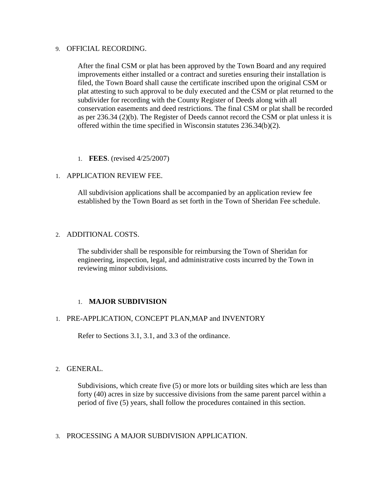#### 9. OFFICIAL RECORDING.

After the final CSM or plat has been approved by the Town Board and any required improvements either installed or a contract and sureties ensuring their installation is filed, the Town Board shall cause the certificate inscribed upon the original CSM or plat attesting to such approval to be duly executed and the CSM or plat returned to the subdivider for recording with the County Register of Deeds along with all conservation easements and deed restrictions. The final CSM or plat shall be recorded as per 236.34 (2)(b). The Register of Deeds cannot record the CSM or plat unless it is offered within the time specified in Wisconsin statutes 236.34(b)(2).

1. **FEES**. (revised 4/25/2007)

#### 1. APPLICATION REVIEW FEE.

All subdivision applications shall be accompanied by an application review fee established by the Town Board as set forth in the Town of Sheridan Fee schedule.

#### 2. ADDITIONAL COSTS.

The subdivider shall be responsible for reimbursing the Town of Sheridan for engineering, inspection, legal, and administrative costs incurred by the Town in reviewing minor subdivisions.

#### 1. **MAJOR SUBDIVISION**

#### 1. PRE-APPLICATION, CONCEPT PLAN,MAP and INVENTORY

Refer to Sections 3.1, 3.1, and 3.3 of the ordinance.

#### 2. GENERAL.

Subdivisions, which create five (5) or more lots or building sites which are less than forty (40) acres in size by successive divisions from the same parent parcel within a period of five (5) years, shall follow the procedures contained in this section.

#### 3. PROCESSING A MAJOR SUBDIVISION APPLICATION.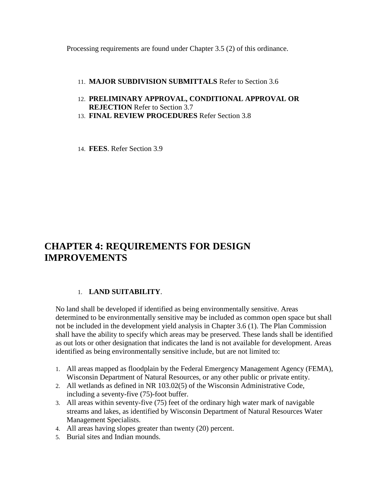Processing requirements are found under Chapter 3.5 (2) of this ordinance.

- 11. **MAJOR SUBDIVISION SUBMITTALS** Refer to Section 3.6
- 12. **PRELIMINARY APPROVAL, CONDITIONAL APPROVAL OR REJECTION** Refer to Section 3.7
- 13. **FINAL REVIEW PROCEDURES** Refer Section 3.8
- 14. **FEES**. Refer Section 3.9

## **CHAPTER 4: REQUIREMENTS FOR DESIGN IMPROVEMENTS**

#### 1. **LAND SUITABILITY**.

No land shall be developed if identified as being environmentally sensitive. Areas determined to be environmentally sensitive may be included as common open space but shall not be included in the development yield analysis in Chapter 3.6 (1). The Plan Commission shall have the ability to specify which areas may be preserved. These lands shall be identified as out lots or other designation that indicates the land is not available for development. Areas identified as being environmentally sensitive include, but are not limited to:

- 1. All areas mapped as floodplain by the Federal Emergency Management Agency (FEMA), Wisconsin Department of Natural Resources, or any other public or private entity.
- 2. All wetlands as defined in NR 103.02(5) of the Wisconsin Administrative Code, including a seventy-five (75)-foot buffer.
- 3. All areas within seventy-five (75) feet of the ordinary high water mark of navigable streams and lakes, as identified by Wisconsin Department of Natural Resources Water Management Specialists.
- 4. All areas having slopes greater than twenty (20) percent.
- 5. Burial sites and Indian mounds.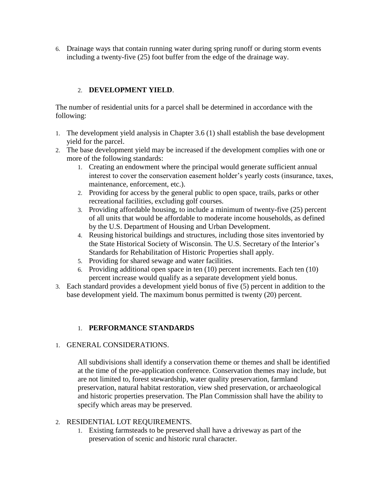6. Drainage ways that contain running water during spring runoff or during storm events including a twenty-five (25) foot buffer from the edge of the drainage way.

#### 2. **DEVELOPMENT YIELD**.

The number of residential units for a parcel shall be determined in accordance with the following:

- 1. The development yield analysis in Chapter 3.6 (1) shall establish the base development yield for the parcel.
- 2. The base development yield may be increased if the development complies with one or more of the following standards:
	- 1. Creating an endowment where the principal would generate sufficient annual interest to cover the conservation easement holder's yearly costs (insurance, taxes, maintenance, enforcement, etc.).
	- 2. Providing for access by the general public to open space, trails, parks or other recreational facilities, excluding golf courses.
	- 3. Providing affordable housing, to include a minimum of twenty-five (25) percent of all units that would be affordable to moderate income households, as defined by the U.S. Department of Housing and Urban Development.
	- 4. Reusing historical buildings and structures, including those sites inventoried by the State Historical Society of Wisconsin. The U.S. Secretary of the Interior's Standards for Rehabilitation of Historic Properties shall apply.
	- 5. Providing for shared sewage and water facilities.
	- 6. Providing additional open space in ten (10) percent increments. Each ten (10) percent increase would qualify as a separate development yield bonus.
- 3. Each standard provides a development yield bonus of five (5) percent in addition to the base development yield. The maximum bonus permitted is twenty (20) percent.

#### 1. **PERFORMANCE STANDARDS**

1. GENERAL CONSIDERATIONS.

All subdivisions shall identify a conservation theme or themes and shall be identified at the time of the pre-application conference. Conservation themes may include, but are not limited to, forest stewardship, water quality preservation, farmland preservation, natural habitat restoration, view shed preservation, or archaeological and historic properties preservation. The Plan Commission shall have the ability to specify which areas may be preserved.

#### 2. RESIDENTIAL LOT REQUIREMENTS.

1. Existing farmsteads to be preserved shall have a driveway as part of the preservation of scenic and historic rural character.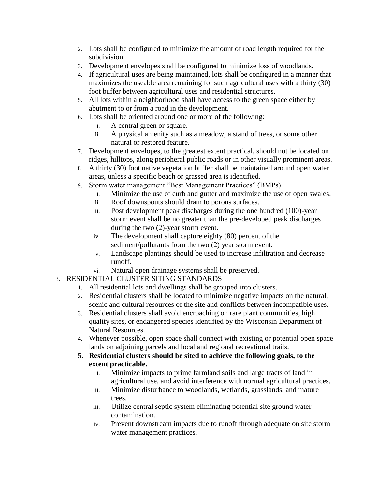- 2. Lots shall be configured to minimize the amount of road length required for the subdivision.
- 3. Development envelopes shall be configured to minimize loss of woodlands.
- 4. If agricultural uses are being maintained, lots shall be configured in a manner that maximizes the useable area remaining for such agricultural uses with a thirty (30) foot buffer between agricultural uses and residential structures.
- 5. All lots within a neighborhood shall have access to the green space either by abutment to or from a road in the development.
- 6. Lots shall be oriented around one or more of the following:
	- i. A central green or square.
	- ii. A physical amenity such as a meadow, a stand of trees, or some other natural or restored feature.
- 7. Development envelopes, to the greatest extent practical, should not be located on ridges, hilltops, along peripheral public roads or in other visually prominent areas.
- 8. A thirty (30) foot native vegetation buffer shall be maintained around open water areas, unless a specific beach or grassed area is identified.
- 9. Storm water management "Best Management Practices" (BMPs)
	- i. Minimize the use of curb and gutter and maximize the use of open swales.
	- ii. Roof downspouts should drain to porous surfaces.
	- iii. Post development peak discharges during the one hundred (100)-year storm event shall be no greater than the pre-developed peak discharges during the two (2)-year storm event.
	- iv. The development shall capture eighty (80) percent of the sediment/pollutants from the two (2) year storm event.
	- v. Landscape plantings should be used to increase infiltration and decrease runoff.
	- vi. Natural open drainage systems shall be preserved.
- 3. RESIDENTIAL CLUSTER SITING STANDARDS
	- 1. All residential lots and dwellings shall be grouped into clusters.
	- 2. Residential clusters shall be located to minimize negative impacts on the natural, scenic and cultural resources of the site and conflicts between incompatible uses.
	- 3. Residential clusters shall avoid encroaching on rare plant communities, high quality sites, or endangered species identified by the Wisconsin Department of Natural Resources.
	- 4. Whenever possible, open space shall connect with existing or potential open space lands on adjoining parcels and local and regional recreational trails.
	- **5. Residential clusters should be sited to achieve the following goals, to the extent practicable.**
		- i. Minimize impacts to prime farmland soils and large tracts of land in agricultural use, and avoid interference with normal agricultural practices.
		- ii. Minimize disturbance to woodlands, wetlands, grasslands, and mature trees.
		- iii. Utilize central septic system eliminating potential site ground water contamination.
		- iv. Prevent downstream impacts due to runoff through adequate on site storm water management practices.